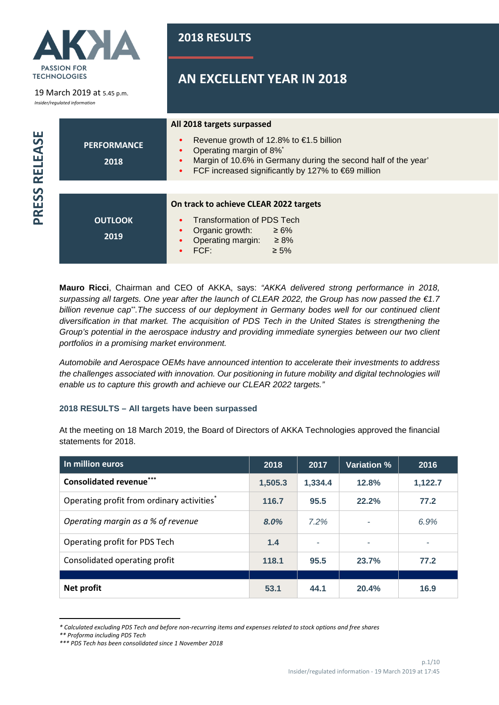

19 March 2019 at 5.45 p.m.

*Insider/regulated information*

PRESS RELEASE

**2018 RESULTS**

# **AN EXCELLENT YEAR IN 2018**

|         |                            | All 2018 targets surpassed                                                                                                                                                                                                                                         |  |  |  |
|---------|----------------------------|--------------------------------------------------------------------------------------------------------------------------------------------------------------------------------------------------------------------------------------------------------------------|--|--|--|
| RELEASE | <b>PERFORMANCE</b><br>2018 | Revenue growth of 12.8% to $\epsilon$ 1.5 billion<br>$\bullet$<br>Operating margin of 8%*<br>$\bullet$<br>Margin of 10.6% in Germany during the second half of the year'<br>$\bullet$<br>FCF increased significantly by 127% to $\epsilon$ 69 million<br>$\bullet$ |  |  |  |
|         |                            |                                                                                                                                                                                                                                                                    |  |  |  |
| PRESS   |                            | On track to achieve CLEAR 2022 targets                                                                                                                                                                                                                             |  |  |  |
|         | <b>OUTLOOK</b>             | <b>Transformation of PDS Tech</b><br>$\bullet$                                                                                                                                                                                                                     |  |  |  |
|         | 2019                       | Organic growth:<br>$\geq 6\%$<br>$\bullet$<br>Operating margin:<br>$\geq 8\%$<br>FCF:<br>$\geq 5\%$                                                                                                                                                                |  |  |  |

**Mauro Ricci**, Chairman and CEO of AKKA, says: "AKKA delivered strong performance in 2018, surpassing all targets. One year after the launch of CLEAR 2022, the Group has now passed the €1.7 billion revenue cap<sup>\*\*</sup>.The success of our deployment in Germany bodes well for our continued client diversification in that market. The acquisition of PDS Tech in the United States is strengthening the Group's potential in the aerospace industry and providing immediate synergies between our two client portfolios in a promising market environment.

Automobile and Aerospace OEMs have announced intention to accelerate their investments to address the challenges associated with innovation. Our positioning in future mobility and digital technologies will enable us to capture this growth and achieve our CLEAR 2022 targets."

## **2018 RESULTS – All targets have been surpassed**

At the meeting on 18 March 2019, the Board of Directors of AKKA Technologies approved the financial statements for 2018.

| In million euros                           | 2018    | 2017    | <b>Variation %</b> | 2016    |
|--------------------------------------------|---------|---------|--------------------|---------|
| <b>Consolidated revenue***</b>             | 1,505.3 | 1,334.4 | 12.8%              | 1,122.7 |
| Operating profit from ordinary activities* | 116.7   | 95.5    | 22.2%              | 77.2    |
| Operating margin as a % of revenue         | 8.0%    | 7.2%    | ٠                  | 6.9%    |
| Operating profit for PDS Tech              | 1.4     | ٠       |                    |         |
| Consolidated operating profit              | 118.1   | 95.5    | 23.7%              | 77.2    |
|                                            |         |         |                    |         |
| Net profit                                 | 53.1    | 44.1    | 20.4%              | 16.9    |

*<sup>\*</sup> Calculated excluding PDS Tech and before non-recurring items and expenses related to stock options and free shares* 

*<sup>\*\*</sup> Proforma including PDS Tech*

*<sup>\*\*\*</sup> PDS Tech has been consolidated since 1 November 2018*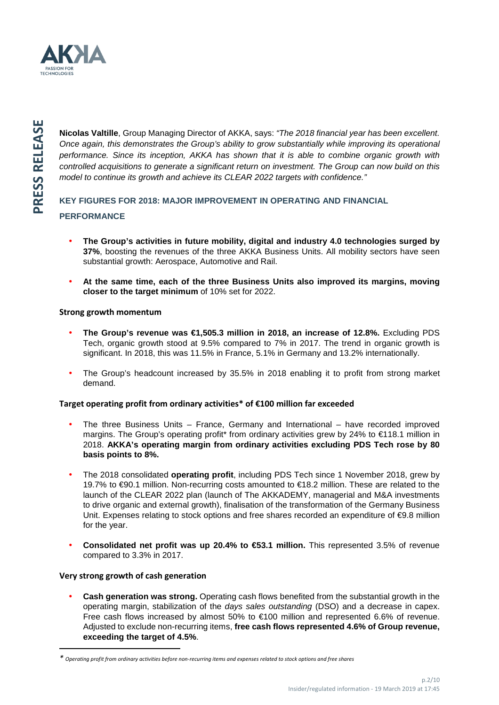

**Nicolas Valtille**, Group Managing Director of AKKA, says: "The 2018 financial year has been excellent. Once again, this demonstrates the Group's ability to grow substantially while improving its operational performance. Since its inception, AKKA has shown that it is able to combine organic growth with controlled acquisitions to generate a significant return on investment. The Group can now build on this model to continue its growth and achieve its CLEAR 2022 targets with confidence."

## **KEY FIGURES FOR 2018: MAJOR IMPROVEMENT IN OPERATING AND FINANCIAL PERFORMANCE**

- **The Group's activities in future mobility, digital and industry 4.0 technologies surged by 37%**, boosting the revenues of the three AKKA Business Units. All mobility sectors have seen substantial growth: Aerospace, Automotive and Rail.
- **At the same time, each of the three Business Units also improved its margins, moving closer to the target minimum** of 10% set for 2022.

### **Strong growth momentum**

- **The Group's revenue was €1,505.3 million in 2018, an increase of 12.8%.** Excluding PDS Tech, organic growth stood at 9.5% compared to 7% in 2017. The trend in organic growth is significant. In 2018, this was 11.5% in France, 5.1% in Germany and 13.2% internationally.
- The Group's headcount increased by 35.5% in 2018 enabling it to profit from strong market demand.

## **Target operating profit from ordinary activities\* of €100 million far exceeded**

- The three Business Units France, Germany and International have recorded improved margins. The Group's operating profit\* from ordinary activities grew by 24% to €118.1 million in 2018. **AKKA's operating margin from ordinary activities excluding PDS Tech rose by 80 basis points to 8%.**
- The 2018 consolidated **operating profit**, including PDS Tech since 1 November 2018, grew by 19.7% to €90.1 million. Non-recurring costs amounted to €18.2 million. These are related to the launch of the CLEAR 2022 plan (launch of The AKKADEMY, managerial and M&A investments to drive organic and external growth), finalisation of the transformation of the Germany Business Unit. Expenses relating to stock options and free shares recorded an expenditure of €9.8 million for the year.
- **Consolidated net profit was up 20.4% to €53.1 million.** This represented 3.5% of revenue compared to 3.3% in 2017.

#### **Very strong growth of cash generation**

l

• **Cash generation was strong.** Operating cash flows benefited from the substantial growth in the operating margin, stabilization of the days sales outstanding (DSO) and a decrease in capex. Free cash flows increased by almost 50% to €100 million and represented 6.6% of revenue. Adjusted to exclude non-recurring items, **free cash flows represented 4.6% of Group revenue, exceeding the target of 4.5%**.

*<sup>\*</sup> Operating profit from ordinary activities before non-recurring items and expenses related to stock options and free shares*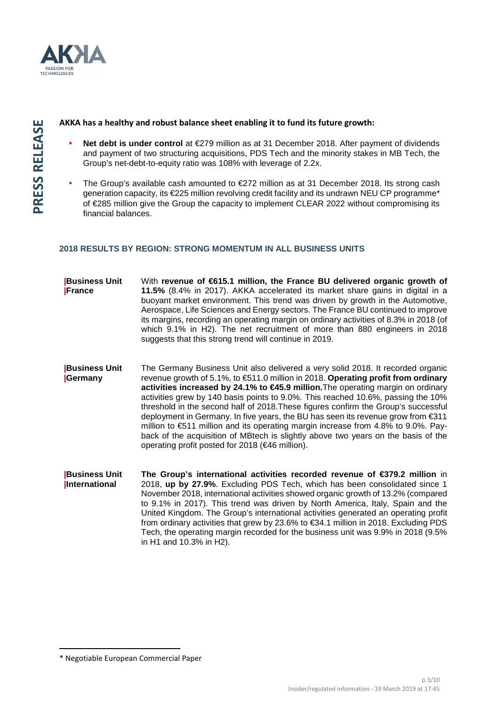

#### **AKKA has a healthy and robust balance sheet enabling it to fund its future growth:**

- **Net debt is under control** at €279 million as at 31 December 2018. After payment of dividends and payment of two structuring acquisitions, PDS Tech and the minority stakes in MB Tech, the Group's net-debt-to-equity ratio was 108% with leverage of 2.2x.
- The Group's available cash amounted to €272 million as at 31 December 2018. Its strong cash generation capacity, its €225 million revolving credit facility and its undrawn NEU CP programme\* of €285 million give the Group the capacity to implement CLEAR 2022 without compromising its financial balances.

### **2018 RESULTS BY REGION: STRONG MOMENTUM IN ALL BUSINESS UNITS**

| <b>Business Unit</b><br>France        | With revenue of €615.1 million, the France BU delivered organic growth of<br>11.5% (8.4% in 2017). AKKA accelerated its market share gains in digital in a<br>buoyant market environment. This trend was driven by growth in the Automotive,<br>Aerospace, Life Sciences and Energy sectors. The France BU continued to improve<br>its margins, recording an operating margin on ordinary activities of 8.3% in 2018 (of<br>which 9.1% in H2). The net recruitment of more than 880 engineers in 2018<br>suggests that this strong trend will continue in 2019.                                                                                                                                                                                               |
|---------------------------------------|---------------------------------------------------------------------------------------------------------------------------------------------------------------------------------------------------------------------------------------------------------------------------------------------------------------------------------------------------------------------------------------------------------------------------------------------------------------------------------------------------------------------------------------------------------------------------------------------------------------------------------------------------------------------------------------------------------------------------------------------------------------|
| <b>Business Unit</b><br>Germany       | The Germany Business Unit also delivered a very solid 2018. It recorded organic<br>revenue growth of 5.1%, to €511.0 million in 2018. Operating profit from ordinary<br>activities increased by 24.1% to €45.9 million. The operating margin on ordinary<br>activities grew by 140 basis points to 9.0%. This reached 10.6%, passing the 10%<br>threshold in the second half of 2018. These figures confirm the Group's successful<br>deployment in Germany. In five years, the BU has seen its revenue grow from $\epsilon$ 311<br>million to €511 million and its operating margin increase from 4.8% to 9.0%. Pay-<br>back of the acquisition of MBtech is slightly above two years on the basis of the<br>operating profit posted for 2018 (€46 million). |
| <b>Business Unit</b><br>International | The Group's international activities recorded revenue of $\epsilon$ 379.2 million in<br>2018, up by 27.9%. Excluding PDS Tech, which has been consolidated since 1<br>November 2018, international activities showed organic growth of 13.2% (compared<br>to 9.1% in 2017). This trend was driven by North America, Italy, Spain and the<br>United Kingdom. The Group's international activities generated an operating profit<br>from ordinary activities that grew by 23.6% to €34.1 million in 2018. Excluding PDS<br>Tech, the operating margin recorded for the business unit was 9.9% in 2018 (9.5%<br>in H1 and 10.3% in H2).                                                                                                                          |

l

<sup>\*</sup> Negotiable European Commercial Paper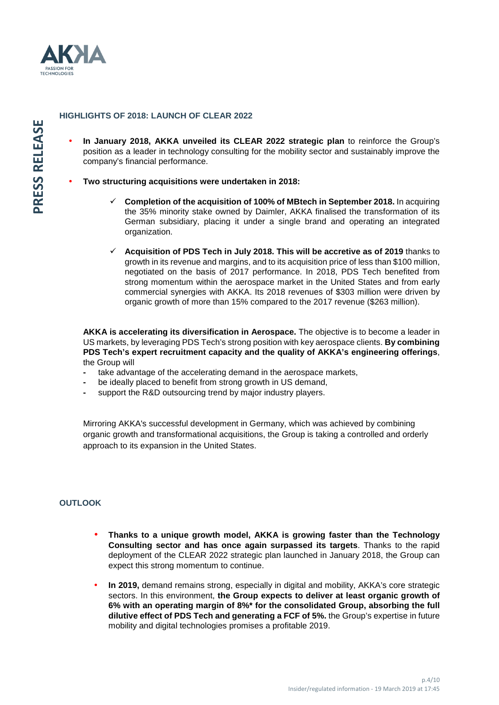

#### **HIGHLIGHTS OF 2018: LAUNCH OF CLEAR 2022**

- **In January 2018, AKKA unveiled its CLEAR 2022 strategic plan** to reinforce the Group's position as a leader in technology consulting for the mobility sector and sustainably improve the company's financial performance.
- **Two structuring acquisitions were undertaken in 2018:** 
	- **Completion of the acquisition of 100% of MBtech in September 2018.** In acquiring the 35% minority stake owned by Daimler, AKKA finalised the transformation of its German subsidiary, placing it under a single brand and operating an integrated organization.
	- **Acquisition of PDS Tech in July 2018. This will be accretive as of 2019** thanks to growth in its revenue and margins, and to its acquisition price of less than \$100 million, negotiated on the basis of 2017 performance. In 2018, PDS Tech benefited from strong momentum within the aerospace market in the United States and from early commercial synergies with AKKA. Its 2018 revenues of \$303 million were driven by organic growth of more than 15% compared to the 2017 revenue (\$263 million).

**AKKA is accelerating its diversification in Aerospace.** The objective is to become a leader in US markets, by leveraging PDS Tech's strong position with key aerospace clients. **By combining PDS Tech's expert recruitment capacity and the quality of AKKA's engineering offerings**, the Group will

- take advantage of the accelerating demand in the aerospace markets,
- be ideally placed to benefit from strong growth in US demand,
- support the R&D outsourcing trend by major industry players.

Mirroring AKKA's successful development in Germany, which was achieved by combining organic growth and transformational acquisitions, the Group is taking a controlled and orderly approach to its expansion in the United States.

#### **OUTLOOK**

- **Thanks to a unique growth model, AKKA is growing faster than the Technology Consulting sector and has once again surpassed its targets**. Thanks to the rapid deployment of the CLEAR 2022 strategic plan launched in January 2018, the Group can expect this strong momentum to continue.
- **In 2019,** demand remains strong, especially in digital and mobility, AKKA's core strategic sectors. In this environment, **the Group expects to deliver at least organic growth of 6% with an operating margin of 8%\* for the consolidated Group, absorbing the full dilutive effect of PDS Tech and generating a FCF of 5%.** the Group's expertise in future mobility and digital technologies promises a profitable 2019.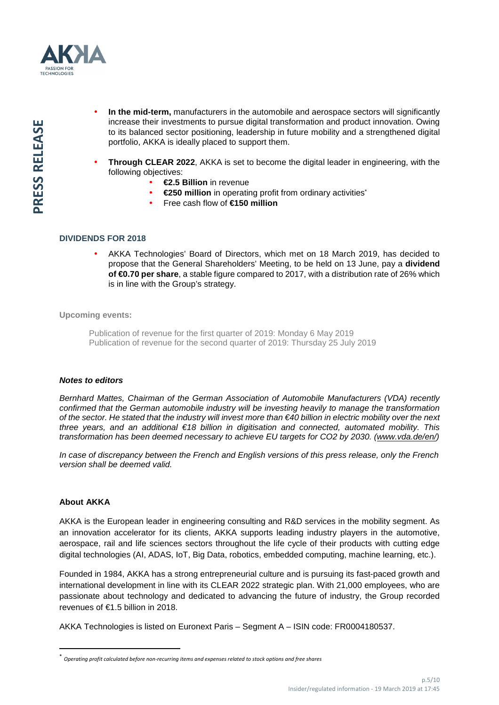

- **In the mid-term,** manufacturers in the automobile and aerospace sectors will significantly increase their investments to pursue digital transformation and product innovation. Owing to its balanced sector positioning, leadership in future mobility and a strengthened digital portfolio, AKKA is ideally placed to support them.
- **Through CLEAR 2022**, AKKA is set to become the digital leader in engineering, with the following objectives:
	- **€2.5 Billion** in revenue
	- **€250 million** in operating profit from ordinary activities\*
	- Free cash flow of **€150 million**

#### **DIVIDENDS FOR 2018**

• AKKA Technologies' Board of Directors, which met on 18 March 2019, has decided to propose that the General Shareholders' Meeting, to be held on 13 June, pay a **dividend of €0.70 per share**, a stable figure compared to 2017, with a distribution rate of 26% which is in line with the Group's strategy.

**Upcoming events:** 

Publication of revenue for the first quarter of 2019: Monday 6 May 2019 Publication of revenue for the second quarter of 2019: Thursday 25 July 2019

#### **Notes to editors**

Bernhard Mattes, Chairman of the German Association of Automobile Manufacturers (VDA) recently confirmed that the German automobile industry will be investing heavily to manage the transformation of the sector. He stated that the industry will invest more than €40 billion in electric mobility over the next three years, and an additional €18 billion in digitisation and connected, automated mobility. This transformation has been deemed necessary to achieve EU targets for CO2 by 2030. (www.vda.de/en/)

In case of discrepancy between the French and English versions of this press release, only the French version shall be deemed valid.

### **About AKKA**

l

AKKA is the European leader in engineering consulting and R&D services in the mobility segment. As an innovation accelerator for its clients, AKKA supports leading industry players in the automotive, aerospace, rail and life sciences sectors throughout the life cycle of their products with cutting edge digital technologies (AI, ADAS, IoT, Big Data, robotics, embedded computing, machine learning, etc.).

Founded in 1984, AKKA has a strong entrepreneurial culture and is pursuing its fast-paced growth and international development in line with its CLEAR 2022 strategic plan. With 21,000 employees, who are passionate about technology and dedicated to advancing the future of industry, the Group recorded revenues of €1.5 billion in 2018.

AKKA Technologies is listed on Euronext Paris – Segment A – ISIN code: FR0004180537.

<sup>\*</sup> *Operating profit calculated before non-recurring items and expenses related to stock options and free shares*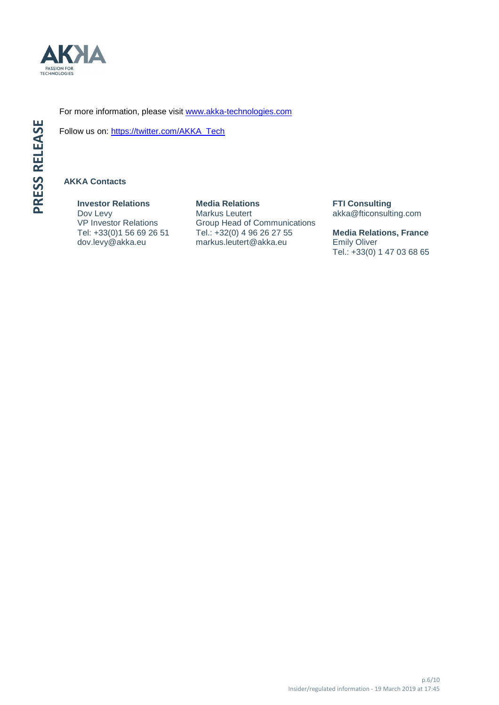

For more information, please visit www.akka-technologies.com

Follow us on: https://twitter.com/AKKA\_Tech

### **AKKA Contacts**

**Investor Relations**  Dov Levy VP Investor Relations Tel: +33(0)1 56 69 26 51 dov.levy@akka.eu

**Media Relations**  Markus Leutert Group Head of Communications Tel.: +32(0) 4 96 26 27 55 markus.leutert@akka.eu

**FTI Consulting**  akka@fticonsulting.com

**Media Relations, France** Emily Oliver Tel.: +33(0) 1 47 03 68 65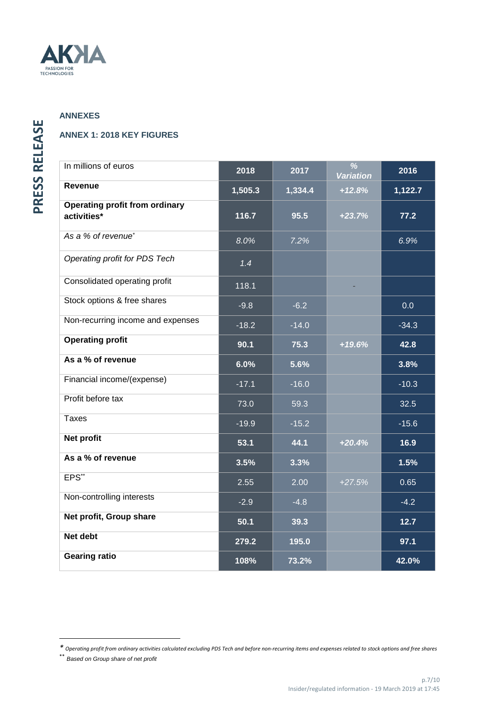

## **ANNEXES**

## **ANNEX 1: 2018 KEY FIGURES**

| In millions of euros                                 | 2018    | 2017    | $\overline{\frac{9}{6}}$<br><b>Variation</b> | 2016    |
|------------------------------------------------------|---------|---------|----------------------------------------------|---------|
| Revenue                                              | 1,505.3 | 1,334.4 | $+12.8%$                                     | 1,122.7 |
| <b>Operating profit from ordinary</b><br>activities* | 116.7   | 95.5    | $+23.7%$                                     | 77.2    |
| As a % of revenue <sup>*</sup>                       | 8.0%    | 7.2%    |                                              | 6.9%    |
| Operating profit for PDS Tech                        | 1.4     |         |                                              |         |
| Consolidated operating profit                        | 118.1   |         |                                              |         |
| Stock options & free shares                          | $-9.8$  | $-6.2$  |                                              | 0.0     |
| Non-recurring income and expenses                    | $-18.2$ | $-14.0$ |                                              | $-34.3$ |
| <b>Operating profit</b>                              | 90.1    | 75.3    | $+19.6%$                                     | 42.8    |
| As a % of revenue                                    | 6.0%    | 5.6%    |                                              | 3.8%    |
| Financial income/(expense)                           | $-17.1$ | $-16.0$ |                                              | $-10.3$ |
| Profit before tax                                    | 73.0    | 59.3    |                                              | 32.5    |
| <b>Taxes</b>                                         | $-19.9$ | $-15.2$ |                                              | $-15.6$ |
| Net profit                                           | 53.1    | 44.1    | $+20.4%$                                     | 16.9    |
| As a % of revenue                                    | 3.5%    | 3.3%    |                                              | 1.5%    |
| EPS**                                                | 2.55    | 2.00    | $+27.5%$                                     | 0.65    |
| Non-controlling interests                            | $-2.9$  | $-4.8$  |                                              | $-4.2$  |
| Net profit, Group share                              | 50.1    | 39.3    |                                              | $12.7$  |
| Net debt                                             | 279.2   | 195.0   |                                              | 97.1    |
| <b>Gearing ratio</b>                                 | 108%    | 73.2%   |                                              | 42.0%   |

\*\* Based on Group share of net profit

 $\overline{\phantom{a}}$ 

*<sup>\*</sup> Operating profit from ordinary activities calculated excluding PDS Tech and before non-recurring items and expenses related to stock options and free shares*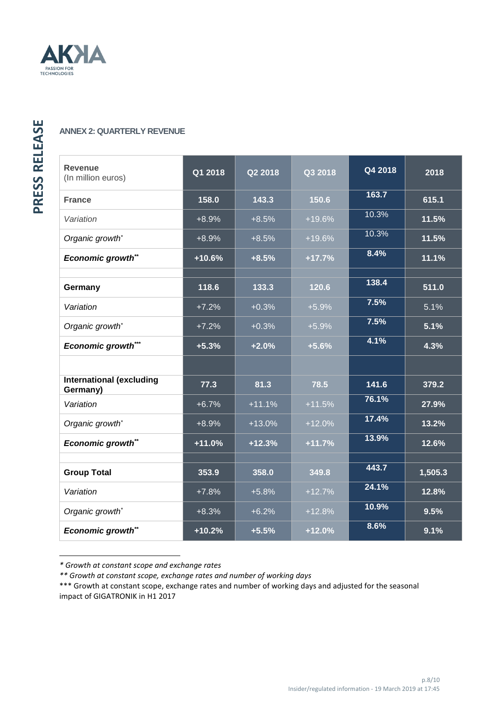

## **ANNEX 2: QUARTERLY REVENUE**

| <b>Revenue</b><br>(In million euros)        | Q1 2018  | Q2 2018  | Q3 2018  | Q4 2018 | 2018    |
|---------------------------------------------|----------|----------|----------|---------|---------|
| <b>France</b>                               | 158.0    | 143.3    | 150.6    | 163.7   | 615.1   |
| Variation                                   | $+8.9%$  | $+8.5%$  | $+19.6%$ | 10.3%   | 11.5%   |
| Organic growth*                             | $+8.9%$  | $+8.5%$  | $+19.6%$ | 10.3%   | 11.5%   |
| Economic growth**                           | +10.6%   | $+8.5%$  | $+17.7%$ | 8.4%    | 11.1%   |
|                                             |          |          |          |         |         |
| Germany                                     | 118.6    | 133.3    | 120.6    | 138.4   | 511.0   |
| Variation                                   | $+7.2%$  | $+0.3%$  | $+5.9%$  | 7.5%    | 5.1%    |
| Organic growth*                             | $+7.2%$  | $+0.3%$  | $+5.9%$  | 7.5%    | 5.1%    |
| <b>Economic growth***</b>                   | $+5.3%$  | $+2.0%$  | $+5.6%$  | 4.1%    | 4.3%    |
|                                             |          |          |          |         |         |
| <b>International (excluding</b><br>Germany) | 77.3     | 81.3     | 78.5     | 141.6   | 379.2   |
| Variation                                   | $+6.7%$  | $+11.1%$ | $+11.5%$ | 76.1%   | 27.9%   |
| Organic growth*                             | $+8.9%$  | $+13.0%$ | $+12.0%$ | 17.4%   | 13.2%   |
| Economic growth**                           | $+11.0%$ | $+12.3%$ | $+11.7%$ | 13.9%   | 12.6%   |
|                                             |          |          |          |         |         |
| <b>Group Total</b>                          | 353.9    | 358.0    | 349.8    | 443.7   | 1,505.3 |
| Variation                                   | $+7.8%$  | $+5.8%$  | $+12.7%$ | 24.1%   | 12.8%   |
| Organic growth*                             | $+8.3%$  | $+6.2%$  | $+12.8%$ | 10.9%   | 9.5%    |
| <b>Economic growth**</b>                    | $+10.2%$ | $+5.5%$  | $+12.0%$ | 8.6%    | 9.1%    |

*<sup>\*</sup> Growth at constant scope and exchange rates*

 $\overline{\phantom{a}}$ 

*<sup>\*\*</sup> Growth at constant scope, exchange rates and number of working days* 

<sup>\*\*\*</sup> Growth at constant scope, exchange rates and number of working days and adjusted for the seasonal impact of GIGATRONIK in H1 2017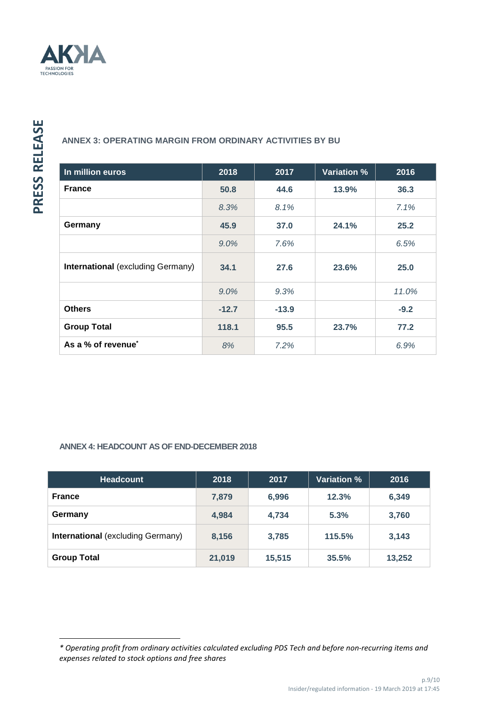

 $\overline{\phantom{a}}$ 

## **ANNEX 3: OPERATING MARGIN FROM ORDINARY ACTIVITIES BY BU**

| In million euros                         | 2018    | 2017    | <b>Variation %</b> | 2016   |
|------------------------------------------|---------|---------|--------------------|--------|
| <b>France</b>                            | 50.8    | 44.6    | 13.9%              | 36.3   |
|                                          | 8.3%    | 8.1%    |                    | 7.1%   |
| Germany                                  | 45.9    | 37.0    | 24.1%              | 25.2   |
|                                          | $9.0\%$ | 7.6%    |                    | 6.5%   |
| <b>International (excluding Germany)</b> | 34.1    | 27.6    | 23.6%              | 25.0   |
|                                          | $9.0\%$ | 9.3%    |                    | 11.0%  |
| <b>Others</b>                            | $-12.7$ | $-13.9$ |                    | $-9.2$ |
| <b>Group Total</b>                       | 118.1   | 95.5    | 23.7%              | 77.2   |
| As a % of revenue <sup>*</sup>           | 8%      | 7.2%    |                    | 6.9%   |

## **ANNEX 4: HEADCOUNT AS OF END-DECEMBER 2018**

| <b>Headcount</b>                         | 2018   | 2017   | <b>Variation %</b> | 2016   |
|------------------------------------------|--------|--------|--------------------|--------|
| <b>France</b>                            | 7,879  | 6,996  | 12.3%              | 6,349  |
| Germany                                  | 4,984  | 4,734  | 5.3%               | 3,760  |
| <b>International (excluding Germany)</b> | 8,156  | 3,785  | 115.5%             | 3,143  |
| <b>Group Total</b>                       | 21,019 | 15,515 | 35.5%              | 13,252 |

*<sup>\*</sup> Operating profit from ordinary activities calculated excluding PDS Tech and before non-recurring items and expenses related to stock options and free shares*